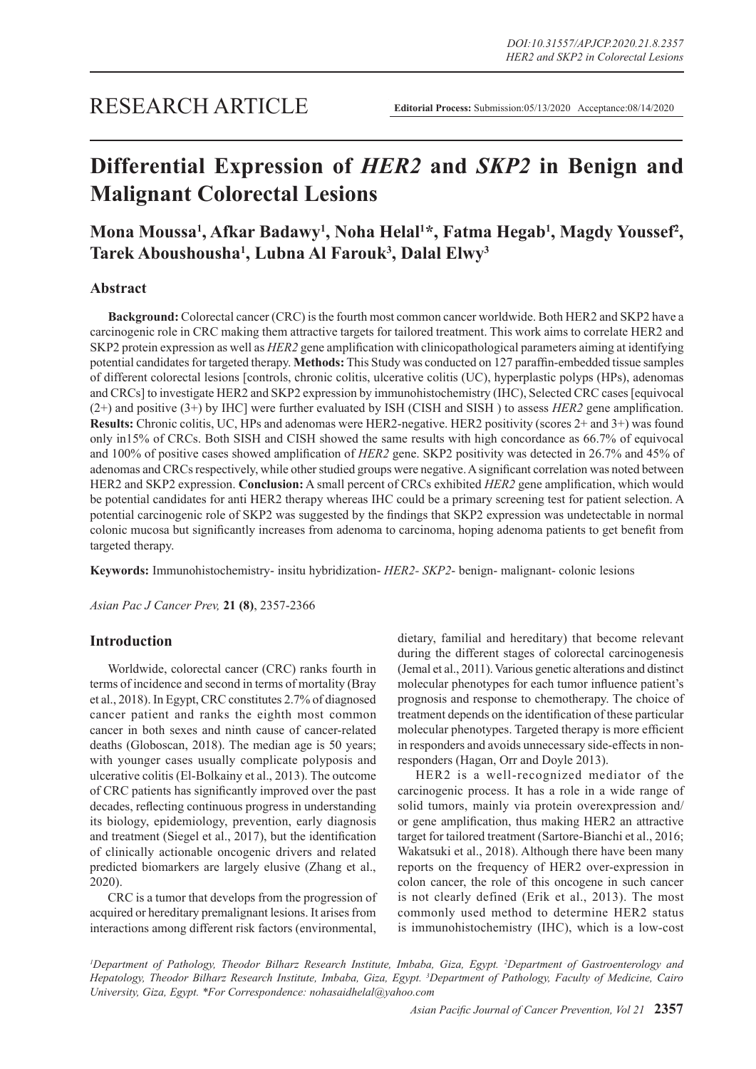# **Differential Expression of** *HER2* **and** *SKP2* **in Benign and Malignant Colorectal Lesions**

## Mona Moussa<sup>1</sup>, Afkar Badawy<sup>1</sup>, Noha Helal<sup>1\*</sup>, Fatma Hegab<sup>1</sup>, Magdy Youssef<sup>2</sup>, **Tarek Aboushousha1 , Lubna Al Farouk3 , Dalal Elwy3**

## **Abstract**

**Background:** Colorectal cancer (CRC) is the fourth most common cancer worldwide. Both HER2 and SKP2 have a carcinogenic role in CRC making them attractive targets for tailored treatment. This work aims to correlate HER2 and SKP2 protein expression as well as *HER2* gene amplification with clinicopathological parameters aiming at identifying potential candidates for targeted therapy. **Methods:** This Study was conducted on 127 paraffin-embedded tissue samples of different colorectal lesions [controls, chronic colitis, ulcerative colitis (UC), hyperplastic polyps (HPs), adenomas and CRCs] to investigate HER2 and SKP2 expression by immunohistochemistry (IHC), Selected CRC cases [equivocal (2+) and positive (3+) by IHC] were further evaluated by ISH (CISH and SISH ) to assess *HER2* gene amplification. **Results:** Chronic colitis, UC, HPs and adenomas were HER2-negative. HER2 positivity (scores 2+ and 3+) was found only in15% of CRCs. Both SISH and CISH showed the same results with high concordance as 66.7% of equivocal and 100% of positive cases showed amplification of *HER2* gene. SKP2 positivity was detected in 26.7% and 45% of adenomas and CRCs respectively, while other studied groups were negative. A significant correlation was noted between HER2 and SKP2 expression. **Conclusion:** A small percent of CRCs exhibited *HER2* gene amplification, which would be potential candidates for anti HER2 therapy whereas IHC could be a primary screening test for patient selection. A potential carcinogenic role of SKP2 was suggested by the findings that SKP2 expression was undetectable in normal colonic mucosa but significantly increases from adenoma to carcinoma, hoping adenoma patients to get benefit from targeted therapy.

**Keywords:** Immunohistochemistry- insitu hybridization- *HER2- SKP2*- benign- malignant- colonic lesions

*Asian Pac J Cancer Prev,* **21 (8)**, 2357-2366

## **Introduction**

Worldwide, colorectal cancer (CRC) ranks fourth in terms of incidence and second in terms of mortality (Bray et al., 2018). In Egypt, CRC constitutes 2.7% of diagnosed cancer patient and ranks the eighth most common cancer in both sexes and ninth cause of cancer-related deaths (Globoscan, 2018). The median age is 50 years; with younger cases usually complicate polyposis and ulcerative colitis (El-Bolkainy et al., 2013). The outcome of CRC patients has significantly improved over the past decades, reflecting continuous progress in understanding its biology, epidemiology, prevention, early diagnosis and treatment (Siegel et al., 2017), but the identification of clinically actionable oncogenic drivers and related predicted biomarkers are largely elusive (Zhang et al., 2020).

CRC is a tumor that develops from the progression of acquired or hereditary premalignant lesions. It arises from interactions among different risk factors (environmental, dietary, familial and hereditary) that become relevant during the different stages of colorectal carcinogenesis (Jemal et al., 2011). Various genetic alterations and distinct molecular phenotypes for each tumor influence patient's prognosis and response to chemotherapy. The choice of treatment depends on the identification of these particular molecular phenotypes. Targeted therapy is more efficient in responders and avoids unnecessary side-effects in nonresponders (Hagan, Orr and Doyle 2013).

HER2 is a well-recognized mediator of the carcinogenic process. It has a role in a wide range of solid tumors, mainly via protein overexpression and/ or gene amplification, thus making HER2 an attractive target for tailored treatment (Sartore-Bianchi et al., 2016; Wakatsuki et al., 2018). Although there have been many reports on the frequency of HER2 over-expression in colon cancer, the role of this oncogene in such cancer is not clearly defined (Erik et al., 2013). The most commonly used method to determine HER2 status is immunohistochemistry (IHC), which is a low-cost

*1 Department of Pathology, Theodor Bilharz Research Institute, Imbaba, Giza, Egypt. 2 Department of Gastroenterology and Hepatology, Theodor Bilharz Research Institute, Imbaba, Giza, Egypt. 3 Department of Pathology, Faculty of Medicine, Cairo University, Giza, Egypt. \*For Correspondence: nohasaidhelal@yahoo.com*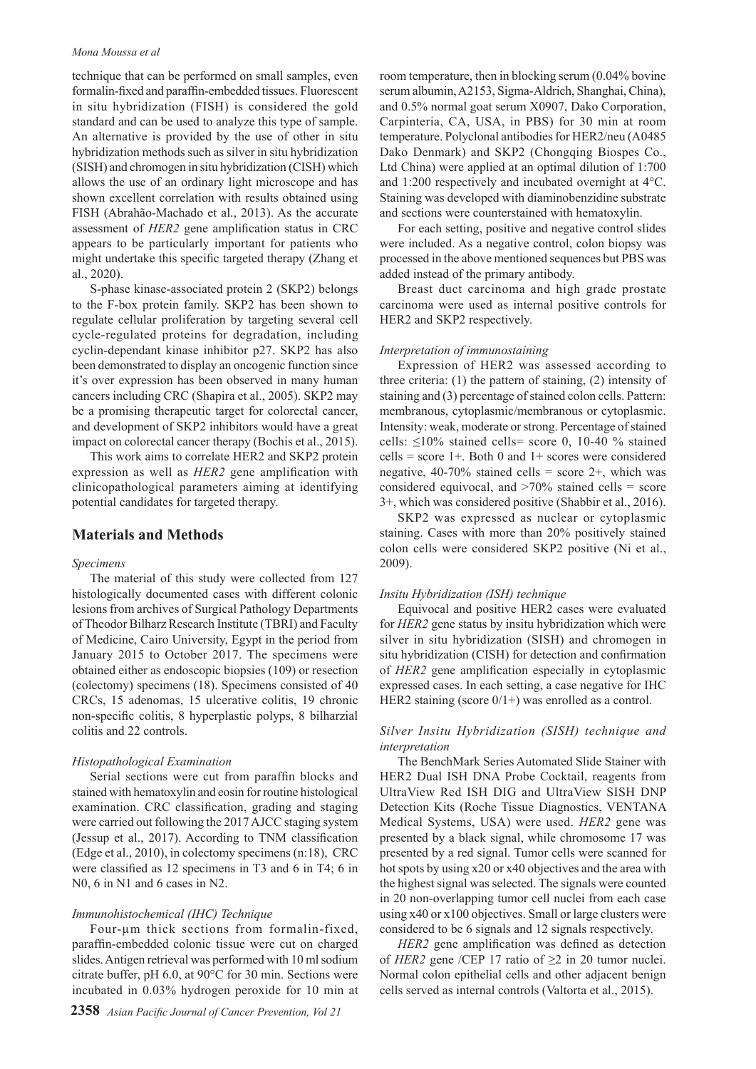#### *Mona Moussa et al*

technique that can be performed on small samples, even formalin-fixed and paraffin-embedded tissues. Fluorescent in situ hybridization (FISH) is considered the gold standard and can be used to analyze this type of sample. An alternative is provided by the use of other in situ hybridization methods such as silver in situ hybridization (SISH) and chromogen in situ hybridization (CISH) which allows the use of an ordinary light microscope and has shown excellent correlation with results obtained using FISH (Abrahão-Machado et al., 2013). As the accurate assessment of *HER2* gene amplification status in CRC appears to be particularly important for patients who might undertake this specific targeted therapy (Zhang et al., 2020).

S-phase kinase-associated protein 2 (SKP2) belongs to the F-box protein family. SKP2 has been shown to regulate cellular proliferation by targeting several cell cycle-regulated proteins for degradation, including cyclin-dependant kinase inhibitor p27. SKP2 has also been demonstrated to display an oncogenic function since it's over expression has been observed in many human cancers including CRC (Shapira et al., 2005). SKP2 may be a promising therapeutic target for colorectal cancer, and development of SKP2 inhibitors would have a great impact on colorectal cancer therapy (Bochis et al., 2015).

This work aims to correlate HER2 and SKP2 protein expression as well as *HER2* gene amplification with clinicopathological parameters aiming at identifying potential candidates for targeted therapy.

## **Materials and Methods**

#### *Specimens*

The material of this study were collected from 127 histologically documented cases with different colonic lesions from archives of Surgical Pathology Departments of Theodor Bilharz Research Institute (TBRI) and Faculty of Medicine, Cairo University, Egypt in the period from January 2015 to October 2017. The specimens were obtained either as endoscopic biopsies (109) or resection (colectomy) specimens (18). Specimens consisted of 40 CRCs, 15 adenomas, 15 ulcerative colitis, 19 chronic non-specific colitis, 8 hyperplastic polyps, 8 bilharzial colitis and 22 controls.

#### *Histopathological Examination*

Serial sections were cut from paraffin blocks and stained with hematoxylin and eosin for routine histological examination. CRC classification, grading and staging were carried out following the 2017 AJCC staging system (Jessup et al., 2017). According to TNM classification (Edge et al., 2010), in colectomy specimens (n:18), CRC were classified as 12 specimens in T3 and 6 in T4; 6 in N<sub>0</sub>, 6 in N<sub>1</sub> and 6 cases in N<sub>2</sub>.

#### *Immunohistochemical (IHC) Technique*

Four-µm thick sections from formalin-fixed, paraffin-embedded colonic tissue were cut on charged slides. Antigen retrieval was performed with 10 ml sodium citrate buffer, pH 6.0, at 90°C for 30 min. Sections were incubated in 0.03% hydrogen peroxide for 10 min at room temperature, then in blocking serum (0.04% bovine serum albumin, A2153, Sigma-Aldrich, Shanghai, China), and 0.5% normal goat serum X0907, Dako Corporation, Carpinteria, CA, USA, in PBS) for 30 min at room temperature. Polyclonal antibodies for HER2/neu (A0485 Dako Denmark) and SKP2 (Chongqing Biospes Co., Ltd China) were applied at an optimal dilution of 1:700 and 1:200 respectively and incubated overnight at 4°C. Staining was developed with diaminobenzidine substrate and sections were counterstained with hematoxylin.

For each setting, positive and negative control slides were included. As a negative control, colon biopsy was processed in the above mentioned sequences but PBS was added instead of the primary antibody.

Breast duct carcinoma and high grade prostate carcinoma were used as internal positive controls for HER2 and SKP2 respectively.

#### *Interpretation of immunostaining*

Expression of HER2 was assessed according to three criteria: (1) the pattern of staining, (2) intensity of staining and (3) percentage of stained colon cells. Pattern: membranous, cytoplasmic/membranous or cytoplasmic. Intensity: weak, moderate or strong. Percentage of stained cells:  $\leq 10\%$  stained cells= score 0, 10-40 % stained cells = score  $1+$ . Both 0 and  $1+$  scores were considered negative,  $40-70\%$  stained cells = score 2+, which was considered equivocal, and  $>70\%$  stained cells = score 3+, which was considered positive (Shabbir et al., 2016).

SKP2 was expressed as nuclear or cytoplasmic staining. Cases with more than 20% positively stained colon cells were considered SKP2 positive (Ni et al., 2009).

#### *Insitu Hybridization (ISH) technique*

Equivocal and positive HER2 cases were evaluated for *HER2* gene status by insitu hybridization which were silver in situ hybridization (SISH) and chromogen in situ hybridization (CISH) for detection and confirmation of *HER2* gene amplification especially in cytoplasmic expressed cases. In each setting, a case negative for IHC HER2 staining (score  $0/1+$ ) was enrolled as a control.

## *Silver Insitu Hybridization (SISH) technique and interpretation*

The BenchMark Series Automated Slide Stainer with HER2 Dual ISH DNA Probe Cocktail, reagents from UltraView Red ISH DIG and UltraView SISH DNP Detection Kits (Roche Tissue Diagnostics, VENTANA Medical Systems, USA) were used. *HER2* gene was presented by a black signal, while chromosome 17 was presented by a red signal. Tumor cells were scanned for hot spots by using x20 or x40 objectives and the area with the highest signal was selected. The signals were counted in 20 non-overlapping tumor cell nuclei from each case using x40 or x100 objectives. Small or large clusters were considered to be 6 signals and 12 signals respectively.

*HER2* gene amplification was defined as detection of *HER2* gene /CEP 17 ratio of  $\geq$  2 in 20 tumor nuclei. Normal colon epithelial cells and other adjacent benign cells served as internal controls (Valtorta et al., 2015).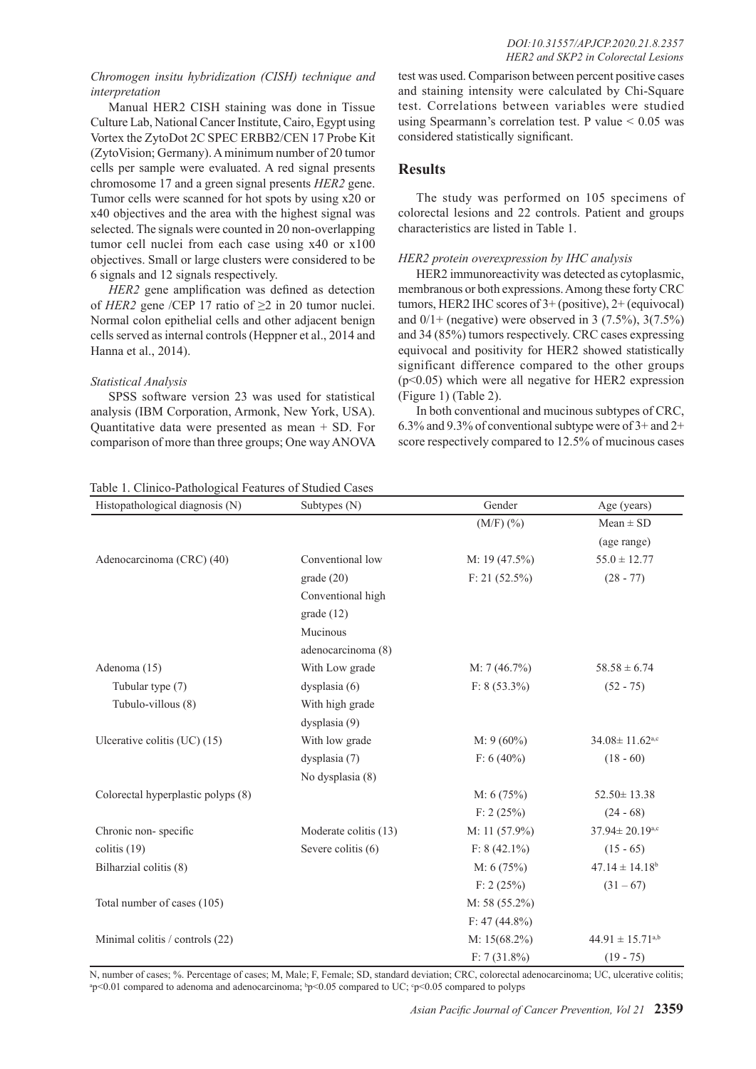### *Chromogen insitu hybridization (CISH) technique and interpretation*

Manual HER2 CISH staining was done in Tissue Culture Lab, National Cancer Institute, Cairo, Egypt using Vortex the ZytoDot 2C SPEC ERBB2/CEN 17 Probe Kit (ZytoVision; Germany). A minimum number of 20 tumor cells per sample were evaluated. A red signal presents chromosome 17 and a green signal presents *HER2* gene. Tumor cells were scanned for hot spots by using x20 or x40 objectives and the area with the highest signal was selected. The signals were counted in 20 non-overlapping tumor cell nuclei from each case using x40 or x100 objectives. Small or large clusters were considered to be 6 signals and 12 signals respectively.

*HER2* gene amplification was defined as detection of *HER2* gene /CEP 17 ratio of ≥2 in 20 tumor nuclei. Normal colon epithelial cells and other adjacent benign cells served as internal controls (Heppner et al., 2014 and Hanna et al., 2014).

### *Statistical Analysis*

SPSS software version 23 was used for statistical analysis (IBM Corporation, Armonk, New York, USA). Quantitative data were presented as mean + SD. For comparison of more than three groups; One way ANOVA

test was used. Comparison between percent positive cases and staining intensity were calculated by Chi-Square test. Correlations between variables were studied using Spearmann's correlation test. P value  $\leq 0.05$  was considered statistically significant.

## **Results**

The study was performed on 105 specimens of colorectal lesions and 22 controls. Patient and groups characteristics are listed in Table 1.

## *HER2 protein overexpression by IHC analysis*

HER2 immunoreactivity was detected as cytoplasmic, membranous or both expressions. Among these forty CRC tumors, HER2 IHC scores of 3+ (positive), 2+ (equivocal) and  $0/1+$  (negative) were observed in 3 (7.5%), 3(7.5%) and 34 (85%) tumors respectively. CRC cases expressing equivocal and positivity for HER2 showed statistically significant difference compared to the other groups (p<0.05) which were all negative for HER2 expression (Figure 1) (Table 2).

In both conventional and mucinous subtypes of CRC, 6.3% and 9.3% of conventional subtype were of 3+ and 2+ score respectively compared to 12.5% of mucinous cases

## Table 1. Clinico-Pathological Features of Studied Cases

| Histopathological diagnosis (N)    | Subtypes (N)          | Gender           | Age (years)                      |
|------------------------------------|-----------------------|------------------|----------------------------------|
|                                    |                       | $(M/F)$ $(\% )$  | $Mean \pm SD$                    |
|                                    |                       |                  | (age range)                      |
| Adenocarcinoma (CRC) (40)          | Conventional low      | M: $19(47.5\%)$  | $55.0 \pm 12.77$                 |
|                                    | grade(20)             | $F: 21 (52.5\%)$ | $(28 - 77)$                      |
|                                    | Conventional high     |                  |                                  |
|                                    | grade(12)             |                  |                                  |
|                                    | Mucinous              |                  |                                  |
|                                    | adenocarcinoma (8)    |                  |                                  |
| Adenoma (15)                       | With Low grade        | M: 7(46.7%)      | $58.58 \pm 6.74$                 |
| Tubular type (7)                   | dysplasia (6)         | $F: 8(53.3\%)$   | $(52 - 75)$                      |
| Tubulo-villous (8)                 | With high grade       |                  |                                  |
|                                    | dysplasia (9)         |                  |                                  |
| Ulcerative colitis $(UC)$ (15)     | With low grade        | $M: 9(60\%)$     | $34.08 \pm 11.62$ <sub>a,c</sub> |
|                                    | dysplasia (7)         | $F: 6 (40\%)$    | $(18 - 60)$                      |
|                                    | No dysplasia (8)      |                  |                                  |
| Colorectal hyperplastic polyps (8) |                       | M: 6(75%)        | $52.50 \pm 13.38$                |
|                                    |                       | F: 2(25%)        | $(24 - 68)$                      |
| Chronic non-specific               | Moderate colitis (13) | M: 11 $(57.9\%)$ | $37.94 \pm 20.19$ a,c            |
| colitis $(19)$                     | Severe colitis (6)    | $F: 8(42.1\%)$   | $(15 - 65)$                      |
| Bilharzial colitis (8)             |                       | M: 6(75%)        | $47.14 \pm 14.18$ <sup>b</sup>   |
|                                    |                       | F: 2(25%)        | $(31 - 67)$                      |
| Total number of cases (105)        |                       | M: 58 $(55.2\%)$ |                                  |
|                                    |                       | $F: 47(44.8\%)$  |                                  |
| Minimal colitis / controls (22)    |                       | $M: 15(68.2\%)$  | $44.91 \pm 15.71^{a,b}$          |
|                                    |                       | $F: 7(31.8\%)$   | $(19 - 75)$                      |

N, number of cases; %. Percentage of cases; M, Male; F, Female; SD, standard deviation; CRC, colorectal adenocarcinoma; UC, ulcerative colitis;  $p$ <0.01 compared to adenoma and adenocarcinoma;  $bp$ <0.05 compared to UC;  $cp$ <0.05 compared to polyps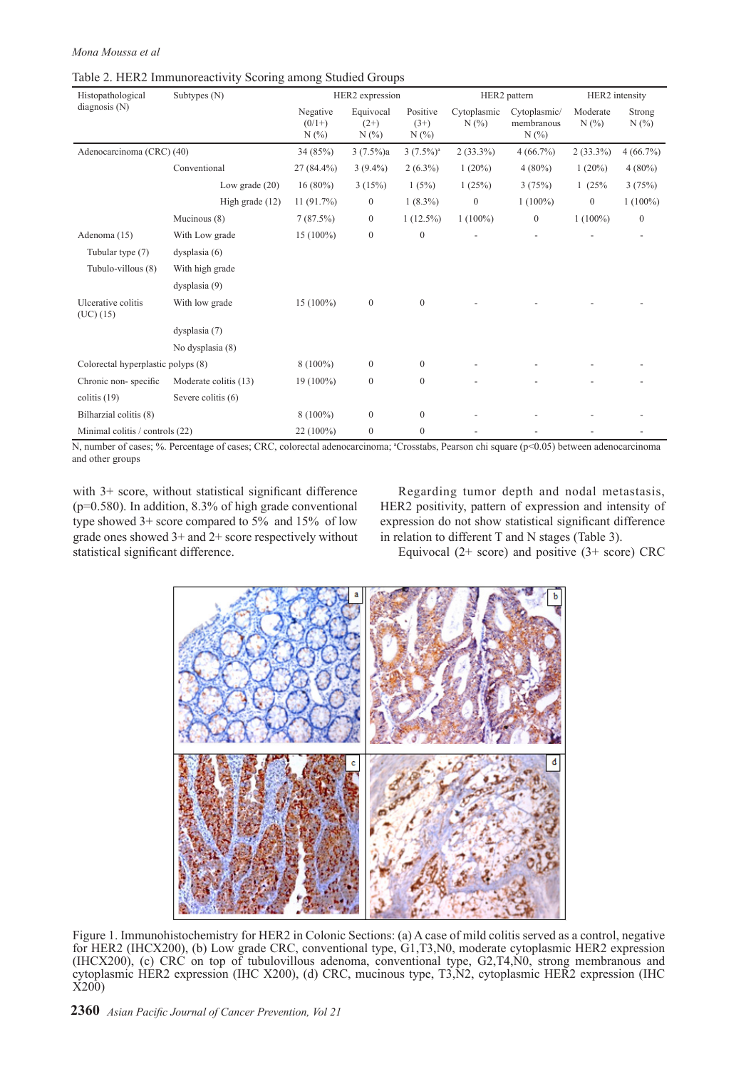#### *Mona Moussa et al*

| Histopathological                  | Subtypes $(N)$        |                             | HER2 expression            |                           |                    | HER2 pattern                      | HER2 intensity  |                  |
|------------------------------------|-----------------------|-----------------------------|----------------------------|---------------------------|--------------------|-----------------------------------|-----------------|------------------|
| diagnosis $(N)$                    |                       | Negative<br>$(0/1+)$<br>N(% | Equivocal<br>$(2+)$<br>N(% | Positive<br>$(3+)$<br>N(% | Cytoplasmic<br>N(% | Cytoplasmic/<br>membranous<br>N(% | Moderate<br>N(% | Strong<br>N(%    |
| Adenocarcinoma (CRC) (40)          |                       | 34 (85%)                    | $3(7.5\%)a$                | $3(7.5\%)$ <sup>a</sup>   | $2(33.3\%)$        | $4(66.7\%)$                       | $2(33.3\%)$     | 4(66.7%)         |
|                                    | Conventional          | 27 (84.4%)                  | $3(9.4\%)$                 | $2(6.3\%)$                | $1(20\%)$          | $4(80\%)$                         | 1(20%)          | $4(80\%)$        |
|                                    | Low grade $(20)$      | $16(80\%)$                  | 3(15%)                     | 1(5%)                     | 1(25%)             | 3(75%)                            | 1(25%           | 3(75%)           |
|                                    | High grade $(12)$     | 11(91.7%)                   | $\mathbf{0}$               | $1(8.3\%)$                | $\mathbf{0}$       | $1(100\%)$                        | $\mathbf{0}$    | $1(100\%)$       |
|                                    | Mucinous (8)          | 7(87.5%)                    | $\mathbf{0}$               | $1(12.5\%)$               | $1(100\%)$         | $\boldsymbol{0}$                  | $1(100\%)$      | $\boldsymbol{0}$ |
| Adenoma (15)                       | With Low grade        | $15(100\%)$                 | $\mathbf{0}$               | $\mathbf{0}$              |                    |                                   |                 |                  |
| Tubular type (7)                   | dysplasia(6)          |                             |                            |                           |                    |                                   |                 |                  |
| Tubulo-villous (8)                 | With high grade       |                             |                            |                           |                    |                                   |                 |                  |
|                                    | dysplasia (9)         |                             |                            |                           |                    |                                   |                 |                  |
| Ulcerative colitis<br>(UC) (15)    | With low grade        | 15 (100%)                   | $\mathbf{0}$               | $\mathbf{0}$              |                    |                                   |                 |                  |
|                                    | dysplasia (7)         |                             |                            |                           |                    |                                   |                 |                  |
|                                    | No dysplasia (8)      |                             |                            |                           |                    |                                   |                 |                  |
| Colorectal hyperplastic polyps (8) |                       | $8(100\%)$                  | $\mathbf{0}$               | $\boldsymbol{0}$          |                    |                                   |                 |                  |
| Chronic non-specific               | Moderate colitis (13) | $19(100\%)$                 | $\mathbf{0}$               | $\mathbf{0}$              |                    |                                   |                 |                  |
| colitis $(19)$                     | Severe colitis (6)    |                             |                            |                           |                    |                                   |                 |                  |
| Bilharzial colitis (8)             |                       | $8(100\%)$                  | $\mathbf{0}$               | $\mathbf{0}$              |                    |                                   |                 |                  |
| Minimal colitis / controls (22)    |                       | 22 (100%)                   | $\mathbf{0}$               | $\mathbf{0}$              |                    |                                   |                 |                  |

#### Table 2. HER2 Immunoreactivity Scoring among Studied Groups

N, number of cases; %. Percentage of cases; CRC, colorectal adenocarcinoma; <sup>a</sup>Crosstabs, Pearson chi square (p<0.05) between adenocarcinoma and other groups

with 3+ score, without statistical significant difference  $(p=0.580)$ . In addition, 8.3% of high grade conventional type showed 3+ score compared to 5% and 15% of low grade ones showed 3+ and 2+ score respectively without statistical significant difference.

Regarding tumor depth and nodal metastasis, HER2 positivity, pattern of expression and intensity of expression do not show statistical significant difference in relation to different T and N stages (Table 3).

Equivocal  $(2+)$  score) and positive  $(3+)$  score) CRC



Figure 1. Immunohistochemistry for HER2 in Colonic Sections: (a) A case of mild colitis served as a control, negative for HER2 (IHCX200), (b) Low grade CRC, conventional type, G1,T3,N0, moderate cytoplasmic HER2 expression (IHCX200), (c) CRC on top of tubulovillous adenoma, conventional type, G2,T4,N0, strong membranous and cytoplasmic HER2 expression (IHC X200), (d) CRC, mucinous type, T3,N2, cytoplasmic HER2 expression (IHC X200)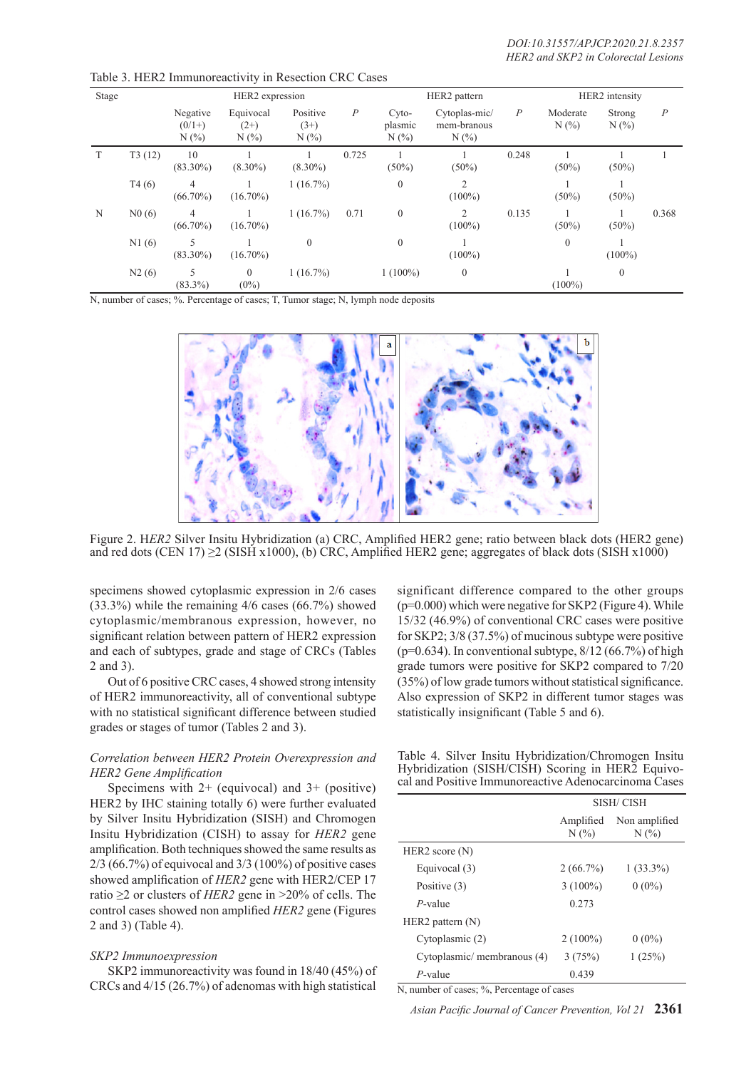| Stage |        | HER2 expression             |                                |                               |                  | HER2 pattern            | HER2 intensity                      |                  |                 |               |                |
|-------|--------|-----------------------------|--------------------------------|-------------------------------|------------------|-------------------------|-------------------------------------|------------------|-----------------|---------------|----------------|
|       |        | Negative<br>$(0/1+)$<br>N(% | Equivocal<br>$(2+)$<br>$N(\%)$ | Positive<br>$(3+)$<br>$N(\%)$ | $\boldsymbol{P}$ | Cyto-<br>plasmic<br>N(% | Cytoplas-mic/<br>mem-branous<br>N(% | $\boldsymbol{P}$ | Moderate<br>N(% | Strong<br>N(% | $\overline{P}$ |
| T     | T3(12) | 10<br>$(83.30\%)$           | $(8.30\%)$                     | $(8.30\%)$                    | 0.725            | $(50\%)$                | $(50\%)$                            | 0.248            | $(50\%)$        | $(50\%)$      |                |
|       | T4(6)  | 4<br>$(66.70\%)$            | $(16.70\%)$                    | 1(16.7%)                      |                  | $\mathbf{0}$            | 2<br>$(100\%)$                      |                  | $(50\%)$        | $(50\%)$      |                |
| N     | N0(6)  | 4<br>$(66.70\%)$            | $(16.70\%)$                    | 1(16.7%)                      | 0.71             | $\overline{0}$          | 2<br>$(100\%)$                      | 0.135            | $(50\%)$        | $(50\%)$      | 0.368          |
|       | N1(6)  | 5<br>$(83.30\%)$            | $(16.70\%)$                    | $\theta$                      |                  | $\theta$                | $(100\%)$                           |                  | $\mathbf{0}$    | $(100\%)$     |                |
|       | N2(6)  | 5<br>$(83.3\%)$             | $\overline{0}$<br>$(0\%)$      | $1(16.7\%)$                   |                  | $1(100\%)$              | $\mathbf{0}$                        |                  | $(100\%)$       | $\theta$      |                |

Table 3. HER2 Immunoreactivity in Resection CRC Cases

N, number of cases; %. Percentage of cases; T, Tumor stage; N, lymph node deposits



Figure 2. H*ER2* Silver Insitu Hybridization (a) CRC, Amplified HER2 gene; ratio between black dots (HER2 gene) and red dots (CEN 17)  $\geq$  (SISH x1000), (b) CRC, Amplified HER2 gene; aggregates of black dots (SISH x1000)

specimens showed cytoplasmic expression in 2/6 cases (33.3%) while the remaining 4/6 cases (66.7%) showed cytoplasmic/membranous expression, however, no significant relation between pattern of HER2 expression and each of subtypes, grade and stage of CRCs (Tables 2 and 3).

Out of 6 positive CRC cases, 4 showed strong intensity of HER2 immunoreactivity, all of conventional subtype with no statistical significant difference between studied grades or stages of tumor (Tables 2 and 3).

## *Correlation between HER2 Protein Overexpression and HER2 Gene Amplification*

Specimens with  $2+$  (equivocal) and  $3+$  (positive) HER2 by IHC staining totally 6) were further evaluated by Silver Insitu Hybridization (SISH) and Chromogen Insitu Hybridization (CISH) to assay for *HER2* gene amplification. Both techniques showed the same results as 2/3 (66.7%) of equivocal and 3/3 (100%) of positive cases showed amplification of *HER2* gene with HER2/CEP 17 ratio ≥2 or clusters of *HER2* gene in >20% of cells. The control cases showed non amplified *HER2* gene (Figures 2 and 3) (Table 4).

#### *SKP2 Immunoexpression*

SKP2 immunoreactivity was found in 18/40 (45%) of CRCs and 4/15 (26.7%) of adenomas with high statistical

significant difference compared to the other groups  $(p=0.000)$  which were negative for SKP2 (Figure 4). While 15/32 (46.9%) of conventional CRC cases were positive for SKP2; 3/8 (37.5%) of mucinous subtype were positive  $(p=0.634)$ . In conventional subtype,  $8/12(66.7%)$  of high grade tumors were positive for SKP2 compared to 7/20 (35%) of low grade tumors without statistical significance. Also expression of SKP2 in different tumor stages was statistically insignificant (Table 5 and 6).

Table 4. Silver Insitu Hybridization/Chromogen Insitu Hybridization (SISH/CISH) Scoring in HER2 Equivocal and Positive Immunoreactive Adenocarcinoma Cases

|                            | <b>SISH/CISH</b> |                       |  |  |
|----------------------------|------------------|-----------------------|--|--|
|                            | Amplified<br>N(% | Non amplified<br>N(%) |  |  |
| HER2 score $(N)$           |                  |                       |  |  |
| Equivocal (3)              | $2(66.7\%)$      | $1(33.3\%)$           |  |  |
| Positive (3)               | $3(100\%)$       | $0(0\%)$              |  |  |
| $P$ -value                 | 0.273            |                       |  |  |
| $HER2$ pattern $(N)$       |                  |                       |  |  |
| Cytoplasmic (2)            | $2(100\%)$       | $0(0\%)$              |  |  |
| Cytoplasmic/membranous (4) | 3(75%)           | 1(25%)                |  |  |
| $P$ -value                 | 0.439            |                       |  |  |

N, number of cases; %, Percentage of cases

*Asian Pacific Journal of Cancer Prevention, Vol 21* **2361**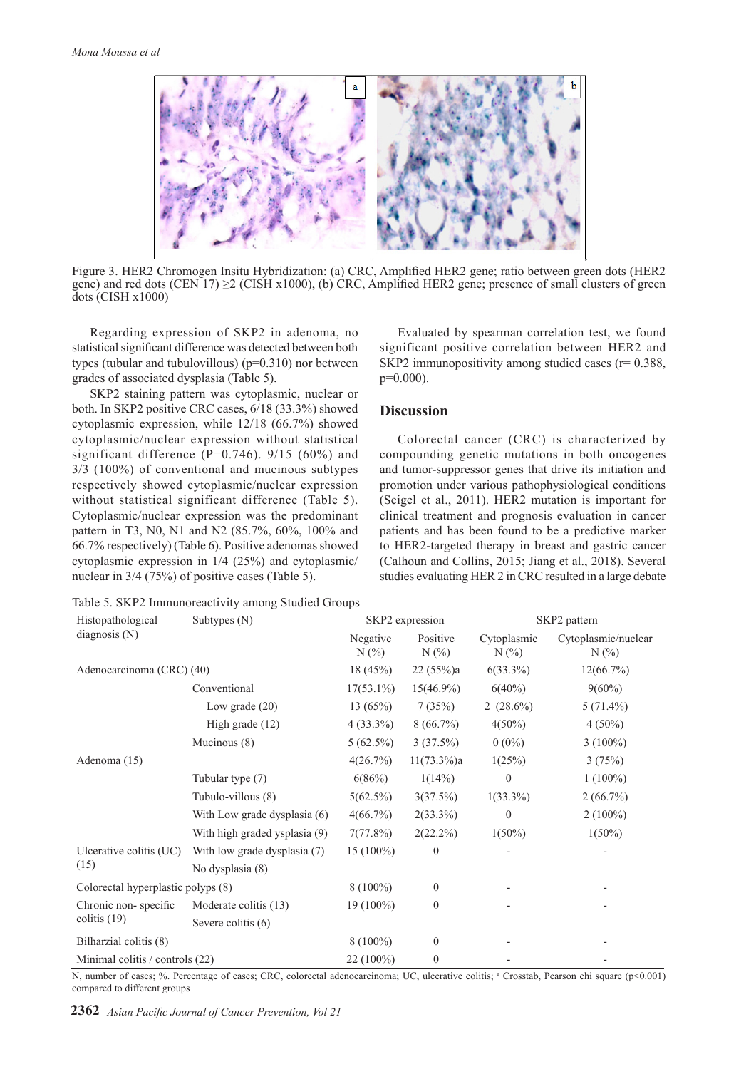

Figure 3. HER2 Chromogen Insitu Hybridization: (a) CRC, Amplified HER2 gene; ratio between green dots (HER2 gene) and red dots (CEN 17)  $\geq$  (CISH x1000), (b) CRC, Amplified HER2 gene; presence of small clusters of green dots (CISH x1000)

Regarding expression of SKP2 in adenoma, no statistical significant difference was detected between both types (tubular and tubulovillous) (p=0.310) nor between grades of associated dysplasia (Table 5).

SKP2 staining pattern was cytoplasmic, nuclear or both. In SKP2 positive CRC cases, 6/18 (33.3%) showed cytoplasmic expression, while 12/18 (66.7%) showed cytoplasmic/nuclear expression without statistical significant difference ( $P=0.746$ ). 9/15 (60%) and 3/3 (100%) of conventional and mucinous subtypes respectively showed cytoplasmic/nuclear expression without statistical significant difference (Table 5). Cytoplasmic/nuclear expression was the predominant pattern in T3, N0, N1 and N2 (85.7%, 60%, 100% and 66.7% respectively) (Table 6). Positive adenomas showed cytoplasmic expression in 1/4 (25%) and cytoplasmic/ nuclear in 3/4 (75%) of positive cases (Table 5).

Evaluated by spearman correlation test, we found significant positive correlation between HER2 and SKP2 immunopositivity among studied cases  $(r= 0.388)$ , p=0.000).

## **Discussion**

Colorectal cancer (CRC) is characterized by compounding genetic mutations in both oncogenes and tumor-suppressor genes that drive its initiation and promotion under various pathophysiological conditions (Seigel et al., 2011). HER2 mutation is important for clinical treatment and prognosis evaluation in cancer patients and has been found to be a predictive marker to HER2-targeted therapy in breast and gastric cancer (Calhoun and Collins, 2015; Jiang et al., 2018). Several studies evaluating HER 2 in CRC resulted in a large debate

Table 5. SKP2 Immunoreactivity among Studied Groups

| Histopathological                  | Subtypes (N)                  |                     | SKP2 expression     |                        | SKP2 pattern                   |
|------------------------------------|-------------------------------|---------------------|---------------------|------------------------|--------------------------------|
| diagnosis $(N)$                    |                               | Negative<br>$N(\%)$ | Positive<br>$N(\%)$ | Cytoplasmic<br>$N(\%)$ | Cytoplasmic/nuclear<br>$N(\%)$ |
| Adenocarcinoma (CRC) (40)          |                               | 18(45%)             | 22(55%)a            | $6(33.3\%)$            | $12(66.7\%)$                   |
|                                    | Conventional                  | $17(53.1\%)$        | $15(46.9\%)$        | $6(40\%)$              | $9(60\%)$                      |
|                                    | Low grade $(20)$              | 13(65%)             | 7(35%)              | 2 $(28.6\%)$           | $5(71.4\%)$                    |
|                                    | High grade $(12)$             | $4(33.3\%)$         | 8(66.7%)            | $4(50\%)$              | $4(50\%)$                      |
|                                    | Mucinous (8)                  | $5(62.5\%)$         | 3(37.5%)            | $0(0\%)$               | $3(100\%)$                     |
| Adenoma (15)                       |                               | 4(26.7%)            | $11(73.3\%)a$       | 1(25%)                 | 3(75%)                         |
|                                    | Tubular type (7)              | 6(86%)              | 1(14%)              | $\overline{0}$         | $1(100\%)$                     |
|                                    | Tubulo-villous (8)            | $5(62.5\%)$         | 3(37.5%)            | $1(33.3\%)$            | 2(66.7%)                       |
|                                    | With Low grade dysplasia (6)  | $4(66.7\%)$         | $2(33.3\%)$         | $\theta$               | $2(100\%)$                     |
|                                    | With high graded ysplasia (9) | 7(77.8%)            | $2(22.2\%)$         | $1(50\%)$              | $1(50\%)$                      |
| Ulcerative colitis (UC)            | With low grade dysplasia (7)  | $15(100\%)$         | $\theta$            |                        |                                |
| (15)                               | No dysplasia (8)              |                     |                     |                        |                                |
| Colorectal hyperplastic polyps (8) |                               | $8(100\%)$          | $\overline{0}$      |                        |                                |
| Chronic non-specific               | Moderate colitis (13)         | 19 (100%)           | $\theta$            |                        |                                |
| colitis $(19)$                     | Severe colitis (6)            |                     |                     |                        |                                |
| Bilharzial colitis (8)             |                               | $8(100\%)$          | $\mathbf{0}$        |                        |                                |
| Minimal colitis / controls (22)    |                               | 22 (100%)           | $\theta$            |                        |                                |

N, number of cases; %. Percentage of cases; CRC, colorectal adenocarcinoma; UC, ulcerative colitis; <sup>a</sup> Crosstab, Pearson chi square (p<0.001) compared to different groups

**2362** *Asian Pacific Journal of Cancer Prevention, Vol 21*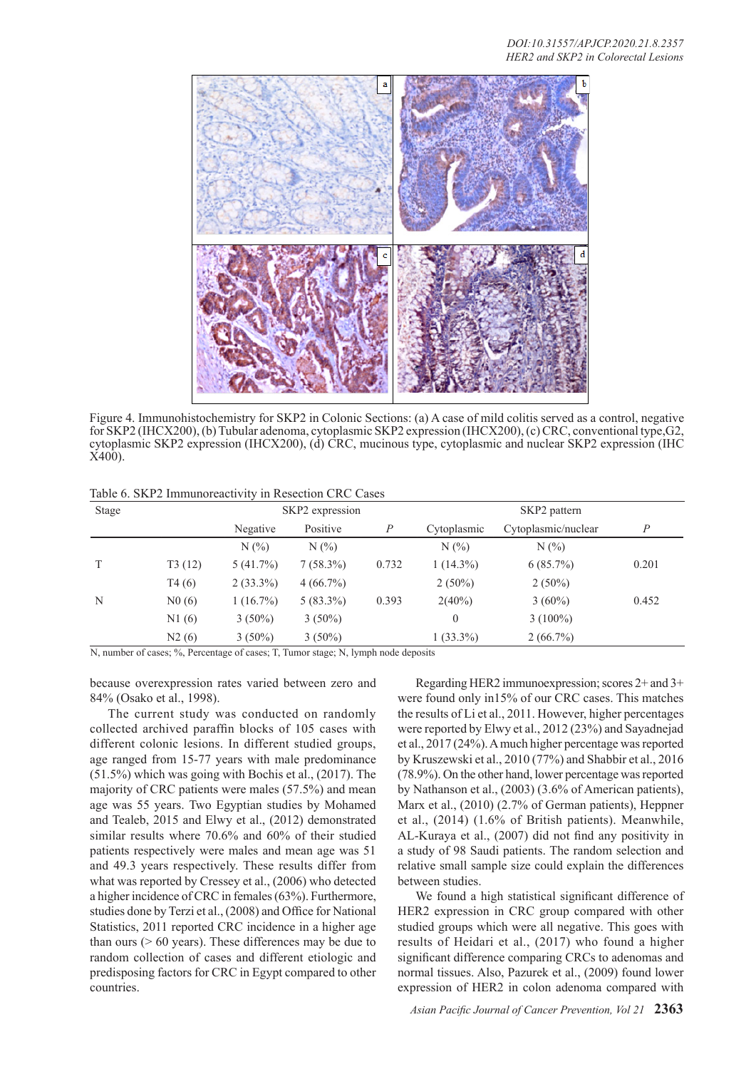

Figure 4. Immunohistochemistry for SKP2 in Colonic Sections: (a) A case of mild colitis served as a control, negative for SKP2 (IHCX200), (b) Tubular adenoma, cytoplasmic SKP2 expression (IHCX200), (c) CRC, conventional type,G2, cytoplasmic SKP2 expression (IHCX200), (d) CRC, mucinous type, cytoplasmic and nuclear SKP2 expression (IHC X400).

Table 6. SKP2 Immunoreactivity in Resection CRC Cases

| Stage |        | SKP2 expression |             |       | SKP2 pattern |                     |       |  |
|-------|--------|-----------------|-------------|-------|--------------|---------------------|-------|--|
|       |        | Negative        | Positive    | P     | Cytoplasmic  | Cytoplasmic/nuclear | P     |  |
|       |        | N(%             | N(%)        |       | $N(\%)$      | $N(\%)$             |       |  |
|       | T3(12) | 5(41.7%)        | $7(58.3\%)$ | 0.732 | $1(14.3\%)$  | $6(85.7\%)$         | 0.201 |  |
|       | T4(6)  | $2(33.3\%)$     | $4(66.7\%)$ |       | $2(50\%)$    | $2(50\%)$           |       |  |
| N     | N0(6)  | $1(16.7\%)$     | $5(83.3\%)$ | 0.393 | $2(40\%)$    | $3(60\%)$           | 0.452 |  |
|       | N1(6)  | $3(50\%)$       | $3(50\%)$   |       | $\theta$     | $3(100\%)$          |       |  |
|       | N2(6)  | $3(50\%)$       | $3(50\%)$   |       | $1(33.3\%)$  | $2(66.7\%)$         |       |  |

N, number of cases; %, Percentage of cases; T, Tumor stage; N, lymph node deposits

because overexpression rates varied between zero and 84% (Osako et al., 1998).

The current study was conducted on randomly collected archived paraffin blocks of 105 cases with different colonic lesions. In different studied groups, age ranged from 15-77 years with male predominance (51.5%) which was going with Bochis et al., (2017). The majority of CRC patients were males (57.5%) and mean age was 55 years. Two Egyptian studies by Mohamed and Tealeb, 2015 and Elwy et al., (2012) demonstrated similar results where 70.6% and 60% of their studied patients respectively were males and mean age was 51 and 49.3 years respectively. These results differ from what was reported by Cressey et al., (2006) who detected a higher incidence of CRC in females (63%). Furthermore, studies done by Terzi et al., (2008) and Office for National Statistics, 2011 reported CRC incidence in a higher age than ours  $($  > 60 years). These differences may be due to random collection of cases and different etiologic and predisposing factors for CRC in Egypt compared to other countries.

Regarding HER2 immunoexpression; scores 2+ and 3+ were found only in15% of our CRC cases. This matches the results of Li et al., 2011. However, higher percentages were reported by Elwy et al., 2012 (23%) and Sayadnejad et al., 2017 (24%). A much higher percentage was reported by Kruszewski et al., 2010 (77%) and Shabbir et al., 2016 (78.9%). On the other hand, lower percentage was reported by Nathanson et al., (2003) (3.6% of American patients), Marx et al., (2010) (2.7% of German patients), Heppner et al., (2014) (1.6% of British patients). Meanwhile, AL-Kuraya et al., (2007) did not find any positivity in a study of 98 Saudi patients. The random selection and relative small sample size could explain the differences between studies.

We found a high statistical significant difference of HER2 expression in CRC group compared with other studied groups which were all negative. This goes with results of Heidari et al., (2017) who found a higher significant difference comparing CRCs to adenomas and normal tissues. Also, Pazurek et al., (2009) found lower expression of HER2 in colon adenoma compared with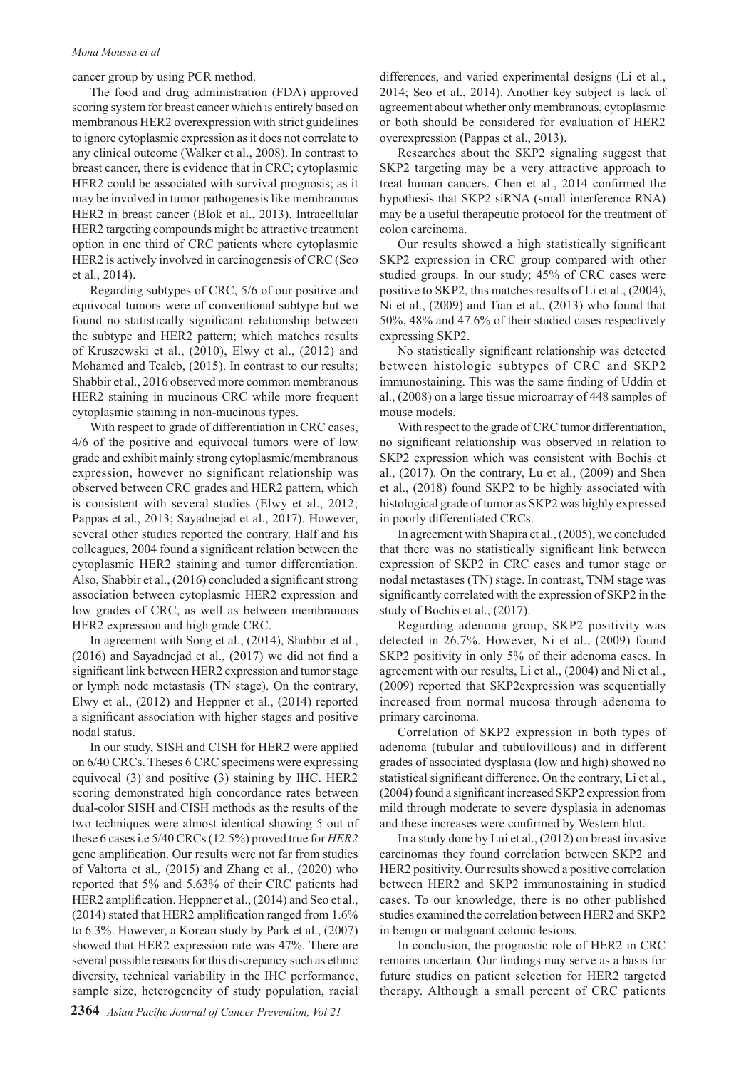cancer group by using PCR method.

The food and drug administration (FDA) approved scoring system for breast cancer which is entirely based on membranous HER2 overexpression with strict guidelines to ignore cytoplasmic expression as it does not correlate to any clinical outcome (Walker et al., 2008). In contrast to breast cancer, there is evidence that in CRC; cytoplasmic HER2 could be associated with survival prognosis; as it may be involved in tumor pathogenesis like membranous HER2 in breast cancer (Blok et al., 2013). Intracellular HER2 targeting compounds might be attractive treatment option in one third of CRC patients where cytoplasmic HER2 is actively involved in carcinogenesis of CRC (Seo et al., 2014).

Regarding subtypes of CRC, 5/6 of our positive and equivocal tumors were of conventional subtype but we found no statistically significant relationship between the subtype and HER2 pattern; which matches results of Kruszewski et al., (2010), Elwy et al., (2012) and Mohamed and Tealeb, (2015). In contrast to our results; Shabbir et al., 2016 observed more common membranous HER2 staining in mucinous CRC while more frequent cytoplasmic staining in non-mucinous types.

With respect to grade of differentiation in CRC cases. 4/6 of the positive and equivocal tumors were of low grade and exhibit mainly strong cytoplasmic/membranous expression, however no significant relationship was observed between CRC grades and HER2 pattern, which is consistent with several studies (Elwy et al., 2012; Pappas et al., 2013; Sayadnejad et al., 2017). However, several other studies reported the contrary. Half and his colleagues, 2004 found a significant relation between the cytoplasmic HER2 staining and tumor differentiation. Also, Shabbir et al., (2016) concluded a significant strong association between cytoplasmic HER2 expression and low grades of CRC, as well as between membranous HER2 expression and high grade CRC.

In agreement with Song et al., (2014), Shabbir et al., (2016) and Sayadnejad et al., (2017) we did not find a significant link between HER2 expression and tumor stage or lymph node metastasis (TN stage). On the contrary, Elwy et al., (2012) and Heppner et al., (2014) reported a significant association with higher stages and positive nodal status.

In our study, SISH and CISH for HER2 were applied on 6/40 CRCs. Theses 6 CRC specimens were expressing equivocal (3) and positive (3) staining by IHC. HER2 scoring demonstrated high concordance rates between dual-color SISH and CISH methods as the results of the two techniques were almost identical showing 5 out of these 6 cases i.e 5/40 CRCs (12.5%) proved true for *HER2* gene amplification. Our results were not far from studies of Valtorta et al., (2015) and Zhang et al., (2020) who reported that 5% and 5.63% of their CRC patients had HER2 amplification. Heppner et al., (2014) and Seo et al., (2014) stated that HER2 amplification ranged from 1.6% to 6.3%. However, a Korean study by Park et al., (2007) showed that HER2 expression rate was 47%. There are several possible reasons for this discrepancy such as ethnic diversity, technical variability in the IHC performance, sample size, heterogeneity of study population, racial

differences, and varied experimental designs (Li et al., 2014; Seo et al., 2014). Another key subject is lack of agreement about whether only membranous, cytoplasmic or both should be considered for evaluation of HER2 overexpression (Pappas et al., 2013).

Researches about the SKP2 signaling suggest that SKP2 targeting may be a very attractive approach to treat human cancers. Chen et al., 2014 confirmed the hypothesis that SKP2 siRNA (small interference RNA) may be a useful therapeutic protocol for the treatment of colon carcinoma.

Our results showed a high statistically significant SKP2 expression in CRC group compared with other studied groups. In our study; 45% of CRC cases were positive to SKP2, this matches results of Li et al., (2004), Ni et al., (2009) and Tian et al., (2013) who found that 50%, 48% and 47.6% of their studied cases respectively expressing SKP2.

No statistically significant relationship was detected between histologic subtypes of CRC and SKP2 immunostaining. This was the same finding of Uddin et al., (2008) on a large tissue microarray of 448 samples of mouse models.

With respect to the grade of CRC tumor differentiation. no significant relationship was observed in relation to SKP2 expression which was consistent with Bochis et al., (2017). On the contrary, Lu et al., (2009) and Shen et al., (2018) found SKP2 to be highly associated with histological grade of tumor as SKP2 was highly expressed in poorly differentiated CRCs.

In agreement with Shapira et al., (2005), we concluded that there was no statistically significant link between expression of SKP2 in CRC cases and tumor stage or nodal metastases (TN) stage. In contrast, TNM stage was significantly correlated with the expression of SKP2 in the study of Bochis et al., (2017).

Regarding adenoma group, SKP2 positivity was detected in 26.7%. However, Ni et al., (2009) found SKP2 positivity in only 5% of their adenoma cases. In agreement with our results, Li et al., (2004) and Ni et al., (2009) reported that SKP2expression was sequentially increased from normal mucosa through adenoma to primary carcinoma.

Correlation of SKP2 expression in both types of adenoma (tubular and tubulovillous) and in different grades of associated dysplasia (low and high) showed no statistical significant difference. On the contrary, Li et al., (2004) found a significant increased SKP2 expression from mild through moderate to severe dysplasia in adenomas and these increases were confirmed by Western blot.

In a study done by Lui et al., (2012) on breast invasive carcinomas they found correlation between SKP2 and HER2 positivity. Our results showed a positive correlation between HER2 and SKP2 immunostaining in studied cases. To our knowledge, there is no other published studies examined the correlation between HER2 and SKP2 in benign or malignant colonic lesions.

In conclusion, the prognostic role of HER2 in CRC remains uncertain. Our findings may serve as a basis for future studies on patient selection for HER2 targeted therapy. Although a small percent of CRC patients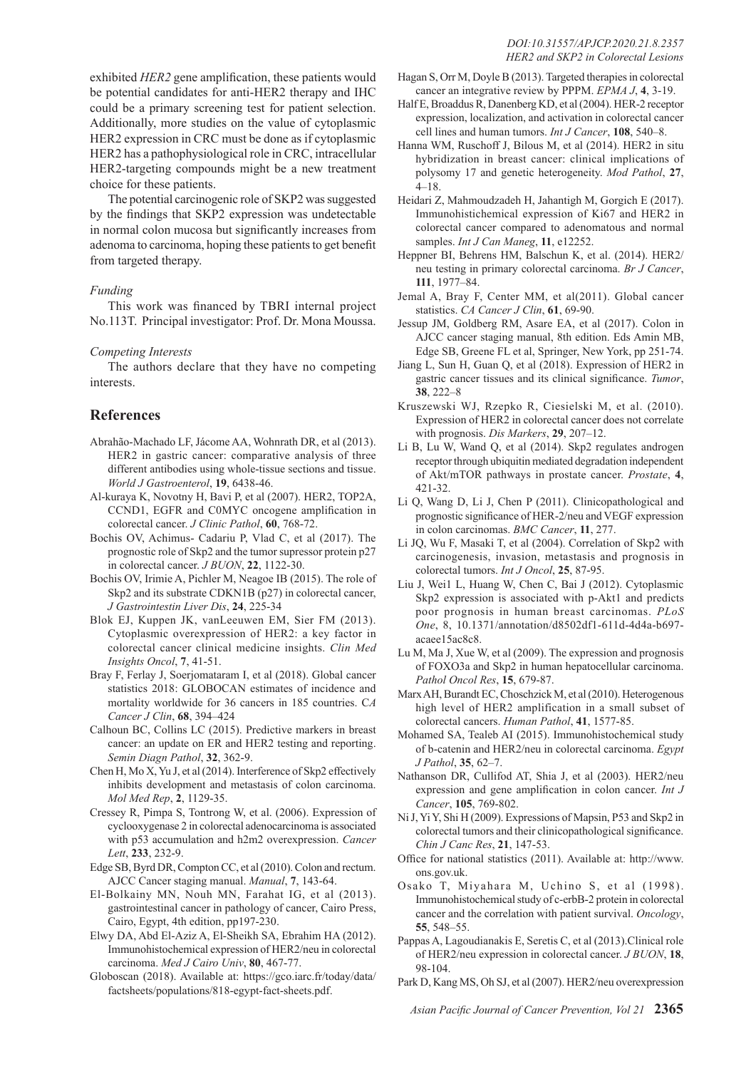exhibited *HER2* gene amplification, these patients would be potential candidates for anti-HER2 therapy and IHC could be a primary screening test for patient selection. Additionally, more studies on the value of cytoplasmic HER2 expression in CRC must be done as if cytoplasmic HER2 has a pathophysiological role in CRC, intracellular HER2-targeting compounds might be a new treatment choice for these patients.

The potential carcinogenic role of SKP2 was suggested by the findings that SKP2 expression was undetectable in normal colon mucosa but significantly increases from adenoma to carcinoma, hoping these patients to get benefit from targeted therapy.

### *Funding*

This work was financed by TBRI internal project No.113T. Principal investigator: Prof. Dr. Mona Moussa.

#### *Competing Interests*

The authors declare that they have no competing interests.

## **References**

- Abrahão-Machado LF, Jácome AA, Wohnrath DR, et al (2013). HER2 in gastric cancer: comparative analysis of three different antibodies using whole-tissue sections and tissue. *World J Gastroenterol*, **19**, 6438-46.
- Al-kuraya K, Novotny H, Bavi P, et al (2007). HER2, TOP2A, CCND1, EGFR and C0MYC oncogene amplification in colorectal cancer. *J Clinic Pathol*, **60**, 768-72.
- Bochis OV, Achimus- Cadariu P, Vlad C, et al (2017). The prognostic role of Skp2 and the tumor supressor protein p27 in colorectal cancer. *J BUON*, **22**, 1122-30.
- Bochis OV, Irimie A, Pichler M, Neagoe IB (2015). The role of Skp2 and its substrate CDKN1B (p27) in colorectal cancer, *J Gastrointestin Liver Dis*, **24**, 225-34
- Blok EJ, Kuppen JK, vanLeeuwen EM, Sier FM (2013). Cytoplasmic overexpression of HER2: a key factor in colorectal cancer clinical medicine insights. *Clin Med Insights Oncol*, **7**, 41-51.
- Bray F, Ferlay J, Soerjomataram I, et al (2018). Global cancer statistics 2018: GLOBOCAN estimates of incidence and mortality worldwide for 36 cancers in 185 countries. C*A Cancer J Clin*, **68**, 394–424
- Calhoun BC, Collins LC (2015). Predictive markers in breast cancer: an update on ER and HER2 testing and reporting. *Semin Diagn Pathol*, **32**, 362-9.
- Chen H, Mo X, Yu J, et al (2014). Interference of Skp2 effectively inhibits development and metastasis of colon carcinoma. *Mol Med Rep*, **2**, 1129-35.
- Cressey R, Pimpa S, Tontrong W, et al. (2006). Expression of cyclooxygenase 2 in colorectal adenocarcinoma is associated with p53 accumulation and h2m2 overexpression. *Cancer Lett*, **233**, 232-9.
- Edge SB, Byrd DR, Compton CC, et al (2010). Colon and rectum. AJCC Cancer staging manual. *Manual*, **7**, 143-64.
- El-Bolkainy MN, Nouh MN, Farahat IG, et al (2013). gastrointestinal cancer in pathology of cancer, Cairo Press, Cairo, Egypt, 4th edition, pp197-230.
- Elwy DA, Abd El-Aziz A, El-Sheikh SA, Ebrahim HA (2012). Immunohistochemical expression of HER2/neu in colorectal carcinoma. *Med J Cairo Univ*, **80**, 467-77.
- Globoscan (2018). Available at: https://gco.iarc.fr/today/data/ factsheets/populations/818-egypt-fact-sheets.pdf.
- Hagan S, Orr M, Doyle B (2013). Targeted therapies in colorectal cancer an integrative review by PPPM. *EPMA J*, **4**, 3-19.
- Half E, Broaddus R, Danenberg KD, et al (2004). HER-2 receptor expression, localization, and activation in colorectal cancer cell lines and human tumors. *Int J Cancer*, **108**, 540–8.
- Hanna WM, Ruschoff J, Bilous M, et al (2014). HER2 in situ hybridization in breast cancer: clinical implications of polysomy 17 and genetic heterogeneity. *Mod Pathol*, **27**, 4–18.
- Heidari Z, Mahmoudzadeh H, Jahantigh M, Gorgich E (2017). Immunohistichemical expression of Ki67 and HER2 in colorectal cancer compared to adenomatous and normal samples. *Int J Can Maneg*, **11**, e12252.
- Heppner BI, Behrens HM, Balschun K, et al. (2014). HER2/ neu testing in primary colorectal carcinoma. *Br J Cancer*, **111**, 1977–84.
- Jemal A, Bray F, Center MM, et al(2011). Global cancer statistics. *CA Cancer J Clin*, **61**, 69-90.
- Jessup JM, Goldberg RM, Asare EA, et al (2017). Colon in AJCC cancer staging manual, 8th edition. Eds Amin MB, Edge SB, Greene FL et al, Springer, New York, pp 251-74.
- Jiang L, Sun H, Guan Q, et al (2018). Expression of HER2 in gastric cancer tissues and its clinical significance. *Tumor*, **38**, 222–8
- Kruszewski WJ, Rzepko R, Ciesielski M, et al. (2010). Expression of HER2 in colorectal cancer does not correlate with prognosis. *Dis Markers*, **29**, 207–12.
- Li B, Lu W, Wand Q, et al (2014). Skp2 regulates androgen receptor through ubiquitin mediated degradation independent of Akt/mTOR pathways in prostate cancer. *Prostate*, **4**, 421-32.
- Li Q, Wang D, Li J, Chen P (2011). Clinicopathological and prognostic significance of HER-2/neu and VEGF expression in colon carcinomas. *BMC Cancer*, **11**, 277.
- Li JQ, Wu F, Masaki T, et al (2004). Correlation of Skp2 with carcinogenesis, invasion, metastasis and prognosis in colorectal tumors. *Int J Oncol*, **25**, 87-95.
- Liu J, Wei1 L, Huang W, Chen C, Bai J (2012). Cytoplasmic Skp2 expression is associated with p-Akt1 and predicts poor prognosis in human breast carcinomas. *PLoS One*, 8, 10.1371/annotation/d8502df1-611d-4d4a-b697 acaee15ac8c8.
- Lu M, Ma J, Xue W, et al (2009). The expression and prognosis of FOXO3a and Skp2 in human hepatocellular carcinoma. *Pathol Oncol Res*, **15**, 679-87.
- Marx AH, Burandt EC, Choschzick M, et al (2010). Heterogenous high level of HER2 amplification in a small subset of colorectal cancers. *Human Pathol*, **41**, 1577-85.
- Mohamed SA, Tealeb AI (2015). Immunohistochemical study of b-catenin and HER2/neu in colorectal carcinoma. *Egypt J Pathol*, **35**, 62–7.
- Nathanson DR, Cullifod AT, Shia J, et al (2003). HER2/neu expression and gene amplification in colon cancer. *Int J Cancer*, **105**, 769-802.
- Ni J, Yi Y, Shi H (2009). Expressions of Mapsin, P53 and Skp2 in colorectal tumors and their clinicopathological significance. *Chin J Canc Res*, **21**, 147-53.
- Office for national statistics (2011). Available at: http://www. ons.gov.uk.
- Osako T, Miyahara M, Uchino S, et al (1998). Immunohistochemical study of c-erbB-2 protein in colorectal cancer and the correlation with patient survival. *Oncology*, **55**, 548–55.
- Pappas A, Lagoudianakis E, Seretis C, et al (2013).Clinical role of HER2/neu expression in colorectal cancer. *J BUON*, **18**, 98-104.
- Park D, Kang MS, Oh SJ, et al (2007). HER2/neu overexpression